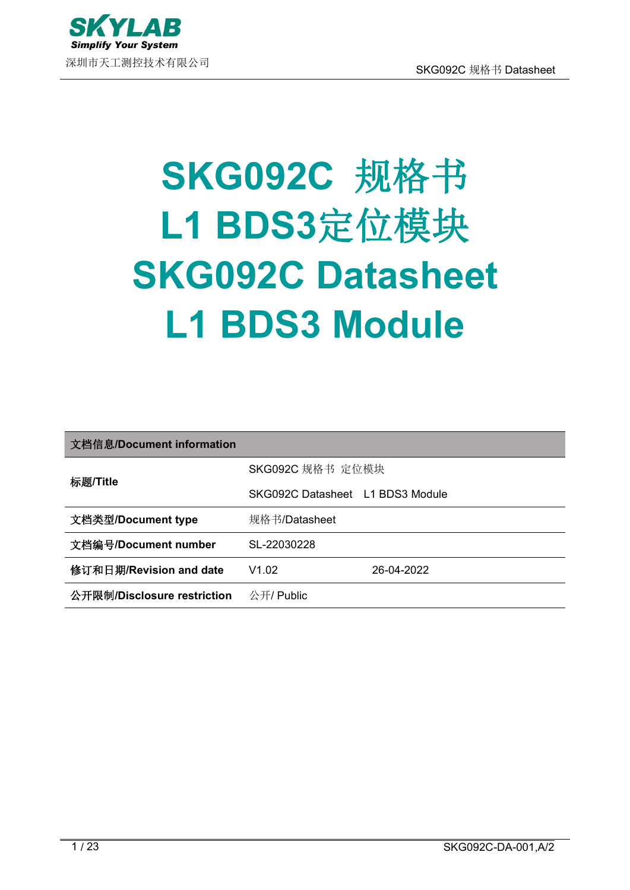

# **SKG092C** 规格书 **L1 BDS3**定位模块 **SKG092C Datasheet L1 BDS3 Module**

| 文档信息/Document information   |                                  |            |
|-----------------------------|----------------------------------|------------|
| 标题/Title                    | SKG092C 规格书 定位模块                 |            |
|                             | SKG092C Datasheet L1 BDS3 Module |            |
| 文档类型/Document type          | 规格书/Datasheet                    |            |
| 文档编号/Document number        | SL-22030228                      |            |
| 修订和日期/Revision and date     | V1.02                            | 26-04-2022 |
| 公开限制/Disclosure restriction | 公开/ Public                       |            |
|                             |                                  |            |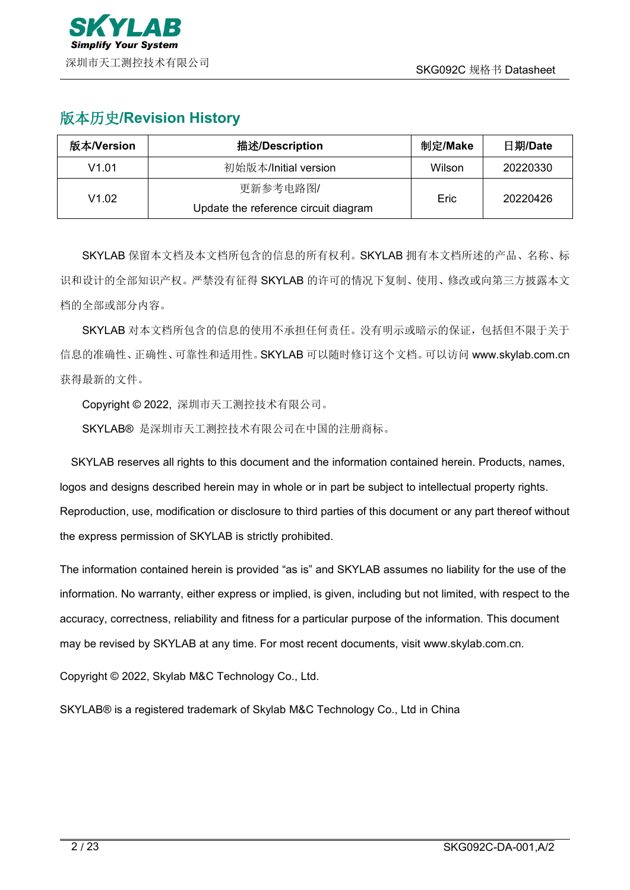# 版本历史**/Revision History**

| 版本/Version | 描述/Description                       | 制定/Make | 日期/Date  |
|------------|--------------------------------------|---------|----------|
| V1.01      | 初始版本/Initial version                 | Wilson  | 20220330 |
| V1.02      | 更新参考电路图/                             |         | 20220426 |
|            | Update the reference circuit diagram | Eric    |          |

SKYLAB 保留本文档及本文档所包含的信息的所有权利。SKYLAB 拥有本文档所述的产品、名称、标 识和设计的全部知识产权。严禁没有征得 SKYLAB 的许可的情况下复制、使用、修改或向第三方披露本文 档的全部或部分内容。

SKYLAB 对本文档所包含的信息的使用不承担任何责任。没有明示或暗示的保证,包括但不限于关于 信息的准确性、正确性、可靠性和适用性。SKYLAB 可以随时修订这个文档。可以访问 [www.skylab.com.cn](http://www.skylab.com.cn) 获得最新的文件。

Copyright © 2022, 深圳市天工测控技术有限公司。

SKYLAB® 是深圳市天工测控技术有限公司在中国的注册商标。

SKYLAB reserves all rights to this document and the information contained herein. Products, names, logos and designs described herein may in whole or in part be subject to intellectual property rights. Reproduction, use, modification or disclosure to third parties of this document or any part thereof without the express permission of SKYLAB is strictly prohibited.

The information contained herein is provided "as is" and SKYLAB assumes no liability for the use of the information. No warranty, either express or implied, is given, including but not limited, with respect to the accuracy, correctness, reliability and fitness for a particular purpose of the information. This document may be revised by SKYLAB at any time. For most recent documents, visit [www.skylab.com.cn.](http://www.skylab.com.cn.)

Copyright © 2022, Skylab M&C Technology Co., Ltd.

SKYLAB® is a registered trademark of Skylab M&C Technology Co., Ltd in China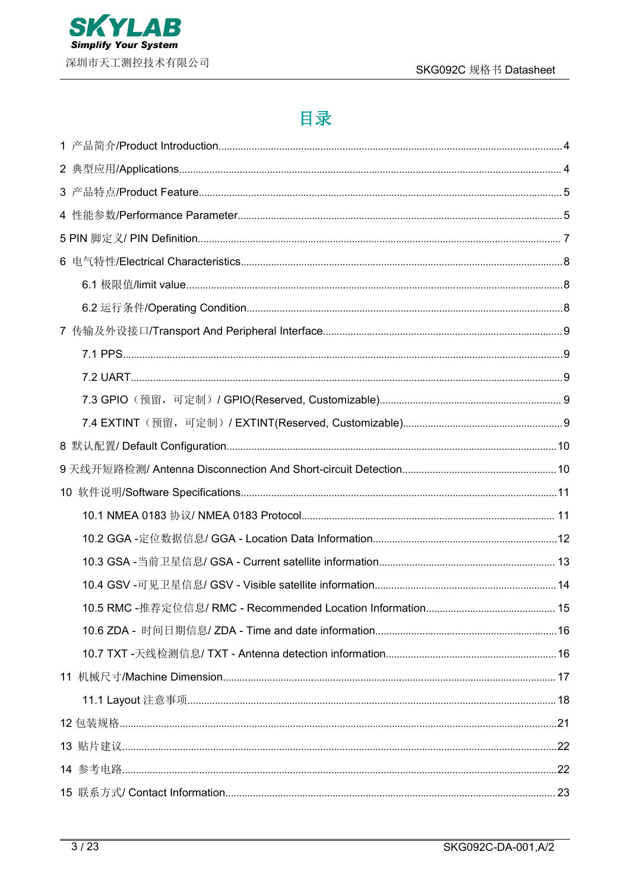

# 目录

| 10.5 RMC -推荐定位信息/ RMC - Recommended Location Information | 15 |
|----------------------------------------------------------|----|
|                                                          |    |
|                                                          |    |
|                                                          |    |
|                                                          |    |
|                                                          |    |
|                                                          |    |
|                                                          |    |
|                                                          |    |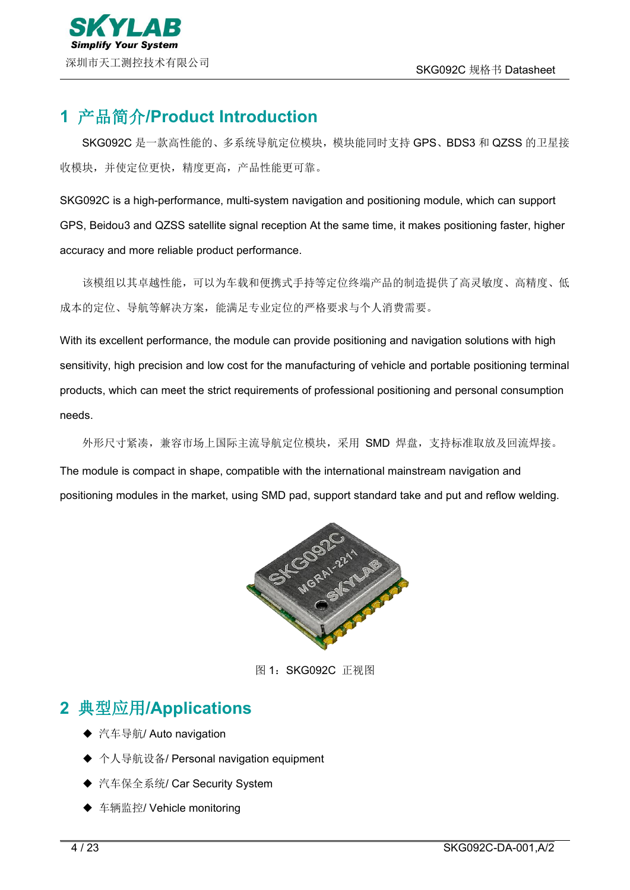# <span id="page-3-0"></span>**1** 产品简介**/Product Introduction**

SKG092C 是一款高性能的、多系统导航定位模块,模块能同时支持 GPS、BDS3 和 QZSS 的卫星接 收模块,并使定位更快,精度更高,产品性能更可靠。

SKG092C is a high-performance, multi-system navigation and positioning module, which can support GPS, Beidou3 and QZSS satellite signal reception At the same time, it makes positioning faster, higher accuracy and more reliable product performance.

该模组以其卓越性能,可以为车载和便携式手持等定位终端产品的制造提供了高灵敏度、高精度、低 成本的定位、导航等解决方案,能满足专业定位的严格要求与个人消费需要。

With its excellent performance, the module can provide positioning and navigation solutions with high sensitivity, high precision and low cost for the manufacturing of vehicle and portable positioning terminal products, which can meet the strict requirements of professional positioning and personal consumption needs.

外形尺寸紧凑,兼容市场上国际主流导航定位模块,采用 SMD 焊盘,支持标准取放及回流焊接。 The module is compact in shape, compatible with the international mainstream navigation and positioning modules in the market, using SMD pad, support standard take and put and reflow welding.



图 1: SKG092C 正视图

# <span id="page-3-1"></span>**2** 典型应用**/Applications**

- ◆ 汽车导航/ Auto navigation
- ◆ 个人导航设备/ Personal navigation equipment
- ◆ 汽车保全系统/ Car Security System
- ◆ 车辆监控/ Vehicle monitoring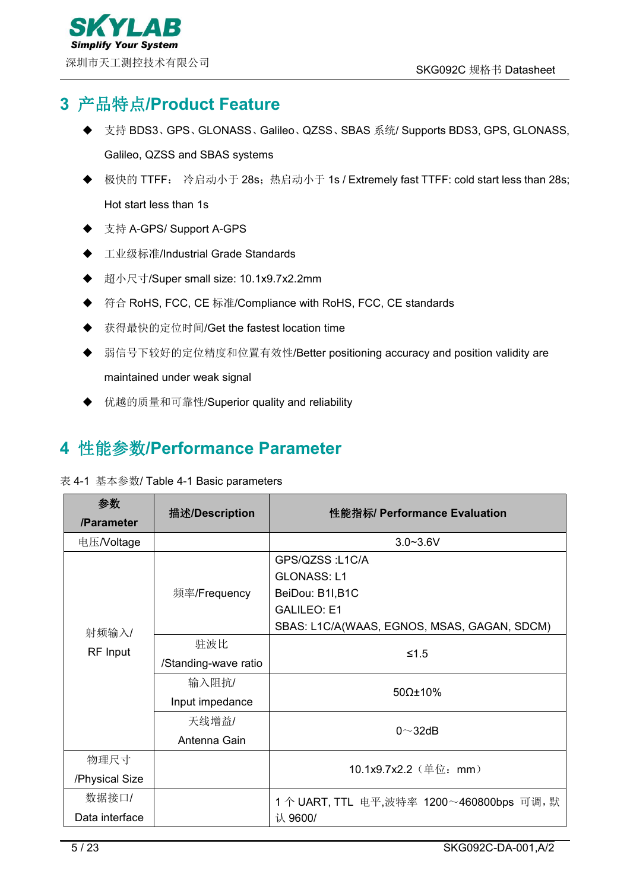# <span id="page-4-0"></span>**3** 产品特点**/Product Feature**

- 支持 BDS3、GPS、GLONASS、Galileo、QZSS、SBAS 系统/ Supports BDS3, GPS, GLONASS, Galileo, QZSS and SBAS systems
- 极快的 TTFF: 冷启动小于 28s; 热启动小于 1s / Extremely fast TTFF: cold start less than 28s; Hot start less than 1s
- 支持 A-GPS/ Support A-GPS
- 工业级标准/Industrial Grade Standards
- 超小尺寸/Super small size: 10.1x9.7x2.2mm
- ◆ 符合 RoHS, FCC, CE 标准/Compliance with RoHS, FCC, CE standards
- 获得最快的定位时间/Get the fastest location time
- 弱信号下较好的定位精度和位置有效性/Better positioning accuracy and position validity are maintained under weak signal
- 优越的质量和可靠性/Superior quality and reliability

# <span id="page-4-1"></span>**4** 性能参数**/Performance Parameter**

#### 表 4-1 基本参数/ Table 4-1 Basic parameters

| 参数             | 描述/Description       | 性能指标/ Performance Evaluation                |  |
|----------------|----------------------|---------------------------------------------|--|
| /Parameter     |                      |                                             |  |
| 电压/Voltage     |                      | $3.0 - 3.6V$                                |  |
|                |                      | GPS/QZSS: L1C/A                             |  |
|                |                      | <b>GLONASS: L1</b>                          |  |
|                | 频率/Frequency         | BeiDou: B1I, B1C                            |  |
| 射频输入/          |                      | <b>GALILEO: E1</b>                          |  |
|                |                      | SBAS: L1C/A(WAAS, EGNOS, MSAS, GAGAN, SDCM) |  |
| RF Input       | 驻波比                  | $≤1.5$                                      |  |
|                | /Standing-wave ratio |                                             |  |
|                | 输入阻抗/                | $50\Omega \pm 10\%$                         |  |
|                | Input impedance      |                                             |  |
|                | 天线增益/                | $0 \sim 32$ dB                              |  |
|                | Antenna Gain         |                                             |  |
| 物理尺寸           |                      |                                             |  |
| /Physical Size |                      | 10.1x9.7x2.2 (单位: mm)                       |  |
| 数据接口/          |                      | 1个 UART, TTL 电平,波特率 1200~460800bps 可调, 默    |  |
| Data interface |                      | 认 9600/                                     |  |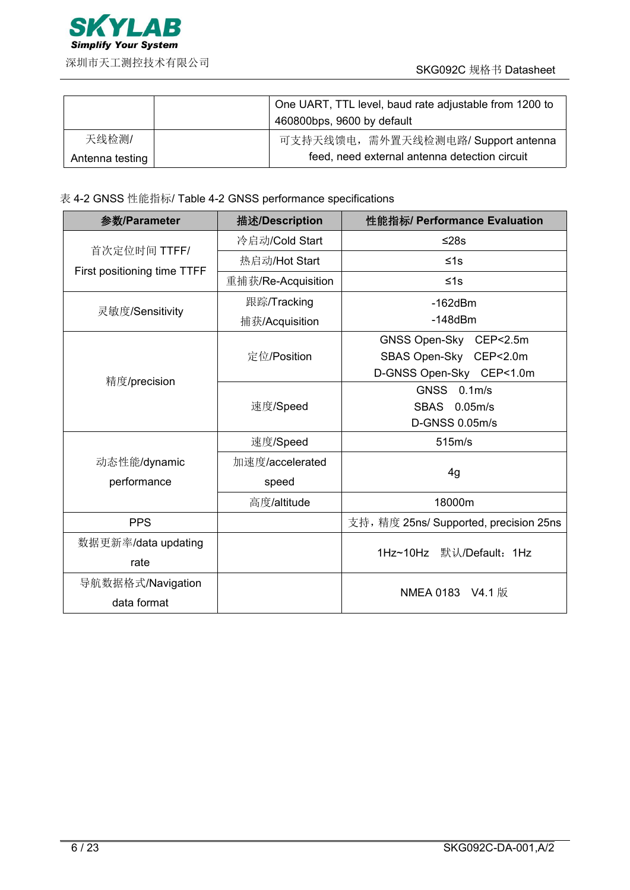

|                 | One UART, TTL level, baud rate adjustable from 1200 to<br>460800bps, 9600 by default |
|-----------------|--------------------------------------------------------------------------------------|
| 天线检测/           | 可支持天线馈电, 需外置天线检测电路/ Support antenna                                                  |
| Antenna testing | feed, need external antenna detection circuit                                        |

表 4-2 GNSS 性能指标/ Table 4-2 GNSS performance specifications

| 参数/Parameter                     | 描述/Description           | 性能指标/ Performance Evaluation                                                 |  |
|----------------------------------|--------------------------|------------------------------------------------------------------------------|--|
|                                  | 冷启动/Cold Start           | $≤28s$                                                                       |  |
| 首次定位时间 TTFF/                     | 热启动/Hot Start            | ≤1s                                                                          |  |
| First positioning time TTFF      | 重捕获/Re-Acquisition       | $≤1s$                                                                        |  |
|                                  | 跟踪/Tracking              | $-162$ d $Bm$                                                                |  |
| 灵敏度/Sensitivity                  | 捕获/Acquisition           | $-148$ d $Bm$                                                                |  |
|                                  | 定位/Position              | GNSS Open-Sky CEP<2.5m<br>SBAS Open-Sky CEP<2.0m<br>D-GNSS Open-Sky CEP<1.0m |  |
| 精度/precision                     | 速度/Speed                 | GNSS 0.1m/s<br>SBAS 0.05m/s<br>D-GNSS 0.05m/s                                |  |
|                                  | 速度/Speed                 | 515m/s                                                                       |  |
| 动态性能/dynamic<br>performance      | 加速度/accelerated<br>speed | 4g                                                                           |  |
|                                  | 高度/altitude              | 18000m                                                                       |  |
| <b>PPS</b>                       |                          | 支持, 精度 25ns/ Supported, precision 25ns                                       |  |
| 数据更新率/data updating<br>rate      |                          | $1$ Hz $\sim$ 10Hz<br>默认/Default: 1Hz                                        |  |
| 导航数据格式/Navigation<br>data format |                          | NMEA 0183 V4.1 版                                                             |  |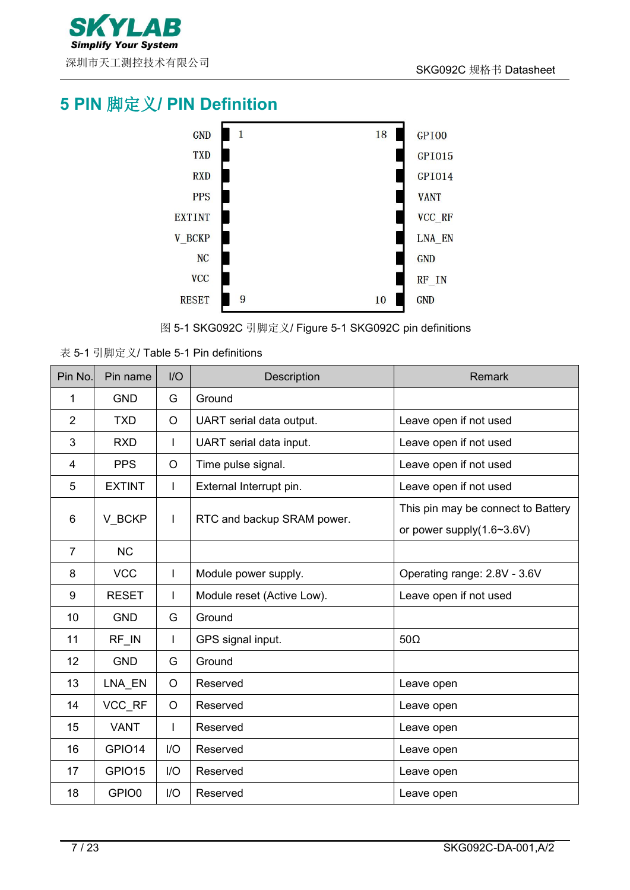

# <span id="page-6-0"></span>**PIN** 脚定义**/ PIN Definition**



图 5-1 SKG092C 引脚定义/ Figure 5-1 SKG092C pin definitions

表 5-1 引脚定义/ Table 5-1 Pin definitions

| Pin No.        | Pin name      | I/O          | Description                | Remark                             |
|----------------|---------------|--------------|----------------------------|------------------------------------|
| 1              | <b>GND</b>    | G            | Ground                     |                                    |
| 2              | <b>TXD</b>    | $\circ$      | UART serial data output.   | Leave open if not used             |
| 3              | <b>RXD</b>    | I            | UART serial data input.    | Leave open if not used             |
| 4              | <b>PPS</b>    | $\circ$      | Time pulse signal.         | Leave open if not used             |
| 5              | <b>EXTINT</b> | $\mathbf{I}$ | External Interrupt pin.    | Leave open if not used             |
| 6              | V BCKP        | $\mathsf{I}$ | RTC and backup SRAM power. | This pin may be connect to Battery |
|                |               |              |                            | or power supply $(1.6 \sim 3.6 V)$ |
| $\overline{7}$ | <b>NC</b>     |              |                            |                                    |
| 8              | <b>VCC</b>    |              | Module power supply.       | Operating range: 2.8V - 3.6V       |
| 9              | <b>RESET</b>  | I            | Module reset (Active Low). | Leave open if not used             |
| 10             | <b>GND</b>    | G            | Ground                     |                                    |
| 11             | RF IN         | I            | GPS signal input.          | $50\Omega$                         |
| 12             | <b>GND</b>    | G            | Ground                     |                                    |
| 13             | LNA_EN        | $\circ$      | Reserved                   | Leave open                         |
| 14             | VCC_RF        | $\circ$      | Reserved                   | Leave open                         |
| 15             | <b>VANT</b>   |              | Reserved                   | Leave open                         |
| 16             | GPIO14        | I/O          | Reserved                   | Leave open                         |
| 17             | GPIO15        | I/O          | Reserved                   | Leave open                         |
| 18             | GPIO0         | I/O          | Reserved                   | Leave open                         |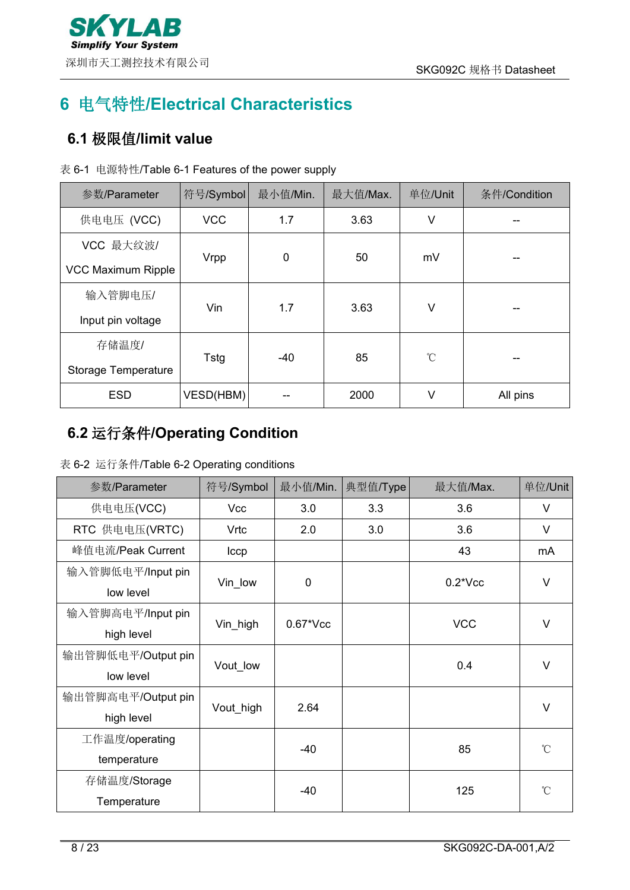

# <span id="page-7-0"></span>**6** 电气特性**/Electrical Characteristics**

## <span id="page-7-1"></span>**6.1** 极限值**/limit value**

|  |  | 表 6-1 电源特性/Table 6-1 Features of the power supply |  |
|--|--|---------------------------------------------------|--|
|--|--|---------------------------------------------------|--|

| 参数/Parameter               | 符号/Symbol  | 最小值/Min.    | 最大值/Max. | 单位/Unit      | 条件/Condition |
|----------------------------|------------|-------------|----------|--------------|--------------|
| 供电电压 (VCC)                 | <b>VCC</b> | 1.7         | 3.63     | V            |              |
| VCC 最大纹波/                  |            | $\mathbf 0$ | 50       | mV           |              |
| VCC Maximum Ripple         | Vrpp       |             |          |              | --           |
| 输入管脚电压/                    | Vin        | 1.7         | 3.63     | V            | --           |
| Input pin voltage          |            |             |          |              |              |
| 存储温度/                      |            | -40         | 85       | $^{\circ}$ C |              |
| <b>Storage Temperature</b> | Tstg       |             |          |              | --           |
| <b>ESD</b>                 | VESD(HBM)  |             | 2000     | V            | All pins     |

# <span id="page-7-2"></span>**6.2** 运行条件**/Operating Condition**

| 参数/Parameter       | 符号/Symbol     | 最小值/Min.       | 典型值/Type | 最大值/Max.   | 单位/Unit      |
|--------------------|---------------|----------------|----------|------------|--------------|
| 供电电压(VCC)          | Vcc           | 3.0            | 3.3      | 3.6        | $\vee$       |
| RTC 供电电压(VRTC)     | Vrtc          | 2.0            | 3.0      | 3.6        | $\vee$       |
| 峰值电流/Peak Current  | $_{\rm lccp}$ |                |          | 43         | mA           |
| 输入管脚低电平/Input pin  |               |                |          |            | $\vee$       |
| low level          | Vin_low       | 0              |          | $0.2*Vec$  |              |
| 输入管脚高电平/Input pin  |               | $0.67$ * $Vcc$ |          |            | $\vee$       |
| high level         | Vin_high      |                |          | <b>VCC</b> |              |
| 输出管脚低电平/Output pin |               |                |          | 0.4        | $\vee$       |
| low level          | Vout low      |                |          |            |              |
| 输出管脚高电平/Output pin |               | 2.64           |          |            | V            |
| high level         | Vout_high     |                |          |            |              |
| 工作温度/operating     |               |                |          |            | $\mathrm{C}$ |
| temperature        |               | $-40$          |          | 85         |              |
| 存储温度/Storage       |               |                |          |            | $\mathrm{C}$ |
| Temperature        |               | $-40$          |          | 125        |              |

表 6-2 运行条件/Table 6-2 Operating conditions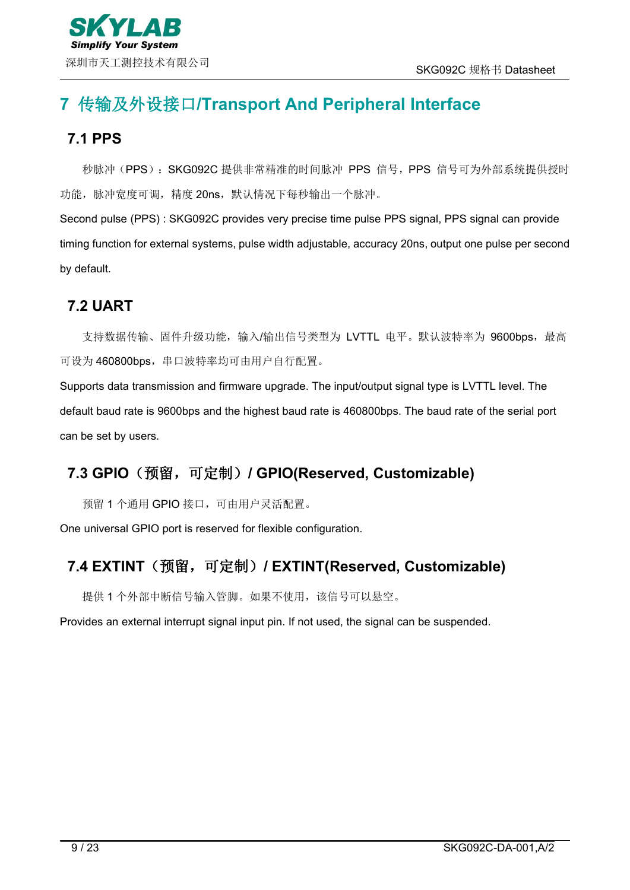# <span id="page-8-0"></span>**7** 传输及外设接口**/Transport And Peripheral Interface**

### <span id="page-8-1"></span>**7.1 PPS**

秒脉冲(PPS): SKG092C 提供非常精准的时间脉冲 PPS 信号, PPS 信号可为外部系统提供授时 功能,脉冲宽度可调,精度 20ns, 默认情况下每秒输出一个脉冲。

Second pulse (PPS) : SKG092C provides very precise time pulse PPS signal, PPS signal can provide timing function for external systems, pulse width adjustable, accuracy 20ns, output one pulse per second by default.

### <span id="page-8-2"></span>**7.2 UART**

支持数据传输、固件升级功能,输入/输出信号类型为 LVTTL 电平。默认波特率为 9600bps, 最高 可设为 460800bps, 串口波特率均可由用户自行配置。

Supports data transmission and firmware upgrade. The input/output signal type is LVTTL level. The default baud rate is 9600bps and the highest baud rate is 460800bps. The baud rate of the serial port can be set by users.

### <span id="page-8-3"></span>**7.3 GPIO**(预留,可定制)**/ GPIO(Reserved, Customizable)**

预留 1 个通用 GPIO 接口,可由用户灵活配置。

One universal GPIO port is reserved for flexible configuration.

## <span id="page-8-4"></span>**7.4 EXTINT**(预留,可定制)**/ EXTINT(Reserved, Customizable)**

提供 1 个外部中断信号输入管脚。如果不使用,该信号可以悬空。

Provides an external interrupt signal input pin. If not used, the signal can be suspended.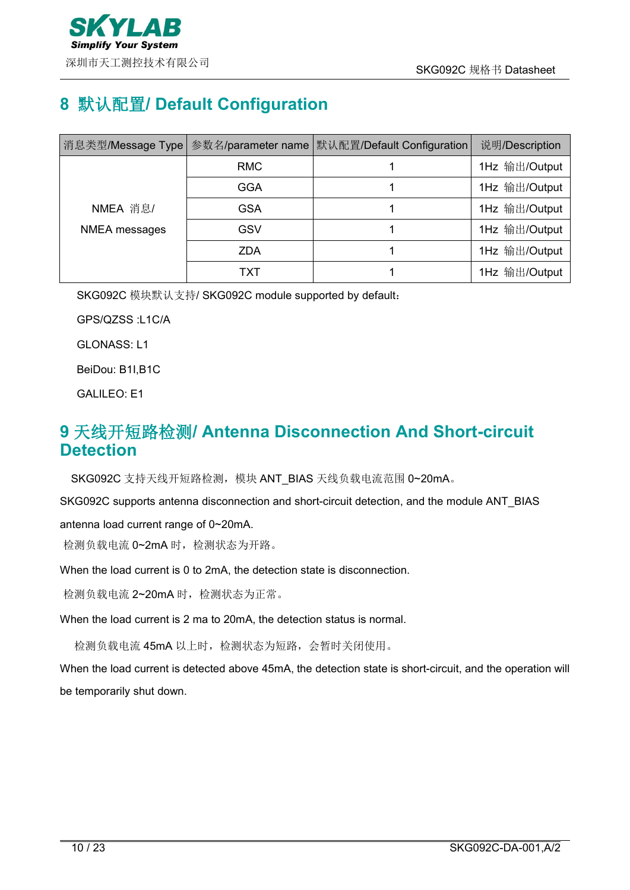

# <span id="page-9-0"></span>**8** 默认配置**/ Default Configuration**

|               |            | │消息类型/Message Type│参数名/parameter name│默认配置/Default Configuration│ | 说明/Description |
|---------------|------------|-------------------------------------------------------------------|----------------|
|               | <b>RMC</b> |                                                                   | 1Hz 输出/Output  |
|               | <b>GGA</b> |                                                                   | 1Hz 输出/Output  |
| NMEA 消息/      | <b>GSA</b> |                                                                   | 1Hz 输出/Output  |
| NMEA messages | GSV        |                                                                   | 1Hz 输出/Output  |
|               | <b>ZDA</b> |                                                                   | 1Hz 输出/Output  |
|               | TXT        |                                                                   | 1Hz 输出/Output  |

SKG092C 模块默认支持/ SKG092C module supported by default:

GPS/QZSS :L1C/A

GLONASS: L1

BeiDou: B1I,B1C

GALILEO: E1

### <span id="page-9-1"></span>**9** 天线开短路检测**/ Antenna Disconnection And Short-circuit Detection**

SKG092C 支持天线开短路检测,模块 ANT\_BIAS 天线负载电流范围 0~20mA。

SKG092C supports antenna disconnection and short-circuit detection, and the module ANT\_BIAS

antenna load current range of 0~20mA.

检测负载电流 0~2mA 时,检测状态为开路。

When the load current is 0 to 2mA, the detection state is disconnection.

检测负载电流 2~20mA 时,检测状态为正常。

When the load current is 2 ma to 20mA, the detection status is normal.

检测负载电流 45mA 以上时,检测状态为短路,会暂时关闭使用。

When the load current is detected above 45mA, the detection state is short-circuit, and the operation will be temporarily shut down.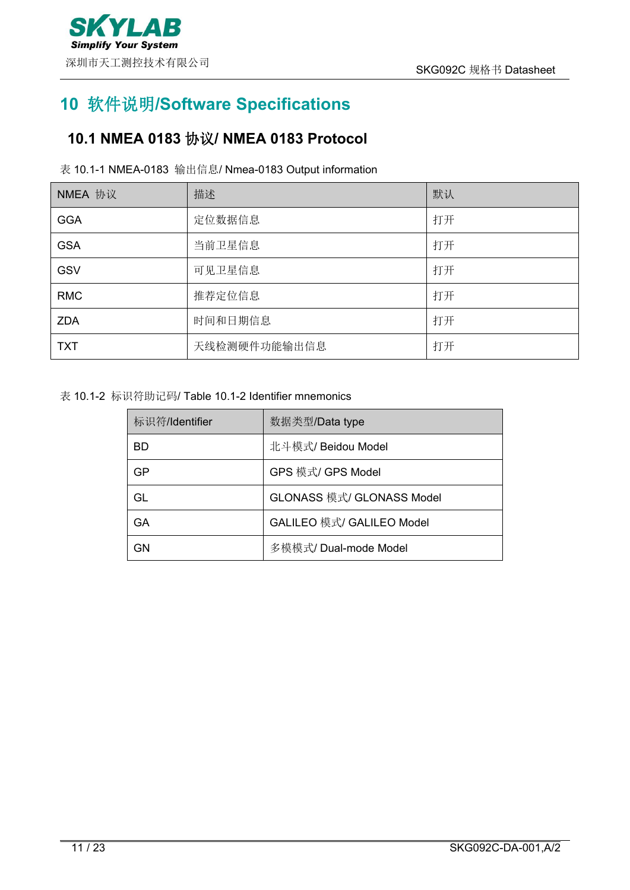

# <span id="page-10-0"></span>**10** 软件说明**/Software Specifications**

# <span id="page-10-1"></span>**10.1 NMEA 0183** 协议**/ NMEA 0183 Protocol**

#### 表 10.1-1 NMEA-0183 输出信息/ Nmea-0183 Output information

| NMEA 协议    | 描述           | 默认 |
|------------|--------------|----|
| <b>GGA</b> | 定位数据信息       | 打开 |
| <b>GSA</b> | 当前卫星信息       | 打开 |
| <b>GSV</b> | 可见卫星信息       | 打开 |
| <b>RMC</b> | 推荐定位信息       | 打开 |
| <b>ZDA</b> | 时间和日期信息      | 打开 |
| <b>TXT</b> | 天线检测硬件功能输出信息 | 打开 |

#### 表 10.1-2 标识符助记码/ Table 10.1-2 Identifier mnemonics

| 标识符/Identifier | 数据类型/Data type            |
|----------------|---------------------------|
| <b>BD</b>      | 北斗模式/ Beidou Model        |
| GP             | GPS 模式/ GPS Model         |
| GL             | GLONASS 模式/ GLONASS Model |
| GА             | GALILEO 模式/ GALILEO Model |
| GN             | 多模模式/ Dual-mode Model     |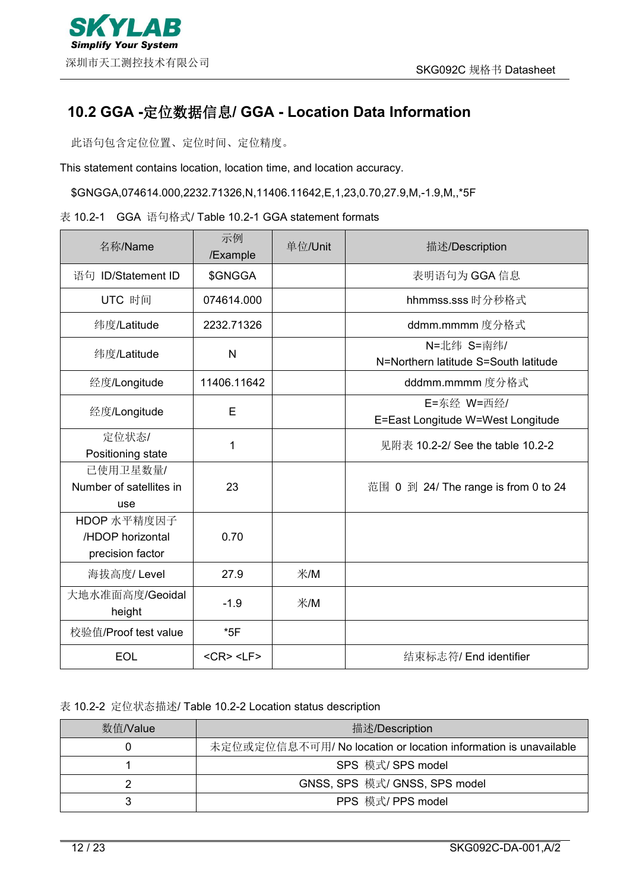### <span id="page-11-0"></span>**10.2 GGA -**定位数据信息**/ GGA - Location Data Information**

此语句包含定位位置、定位时间、定位精度。

This statement contains location, location time, and location accuracy.

\$GNGGA,074614.000,2232.71326,N,11406.11642,E,1,23,0.70,27.9,M,-1.9,M,,\*5F

#### 表 10.2-1 GGA 语句格式/ Table 10.2-1 GGA statement formats

| 名称/Name                                             | 示例<br>/Example        | 单位/Unit<br>描述/Description |                                                    |
|-----------------------------------------------------|-----------------------|---------------------------|----------------------------------------------------|
| 语句 ID/Statement ID                                  | \$GNGGA               |                           | 表明语句为 GGA 信息                                       |
| UTC 时间                                              | 074614.000            |                           | hhmmss.sss 时分秒格式                                   |
| 纬度/Latitude                                         | 2232.71326            |                           | ddmm.mmmm度分格式                                      |
| 纬度/Latitude                                         | $\mathsf{N}$          |                           | N=北纬 S=南纬/<br>N=Northern latitude S=South latitude |
| 经度/Longitude                                        | 11406.11642           |                           | dddmm.mmmm度分格式                                     |
| 经度/Longitude                                        | E                     |                           | E=东经 W=西经/<br>E=East Longitude W=West Longitude    |
| 定位状态/<br>Positioning state                          | 1                     |                           | 见附表 10.2-2/ See the table 10.2-2                   |
| 已使用卫星数量/<br>Number of satellites in<br>use          | 23                    |                           | 范围 0 到 24/ The range is from 0 to 24               |
| HDOP 水平精度因子<br>/HDOP horizontal<br>precision factor | 0.70                  |                           |                                                    |
| 海拔高度/ Level                                         | 27.9                  | 米/M                       |                                                    |
| 大地水准面高度/Geoidal<br>height                           | $-1.9$                | 米/M                       |                                                    |
| 校验值/Proof test value                                | $*5F$                 |                           |                                                    |
| <b>EOL</b>                                          | $<$ CR $>$ $<$ LF $>$ |                           | 结束标志符/ End identifier                              |

表 10.2-2 定位状态描述/ Table 10.2-2 Location status description

| 数值/Value | 描述/Description                                                  |
|----------|-----------------------------------------------------------------|
|          | 未定位或定位信息不可用/ No location or location information is unavailable |
|          | SPS 模式/ SPS model                                               |
|          | GNSS, SPS 模式/ GNSS, SPS model                                   |
|          | PPS 模式/ PPS model                                               |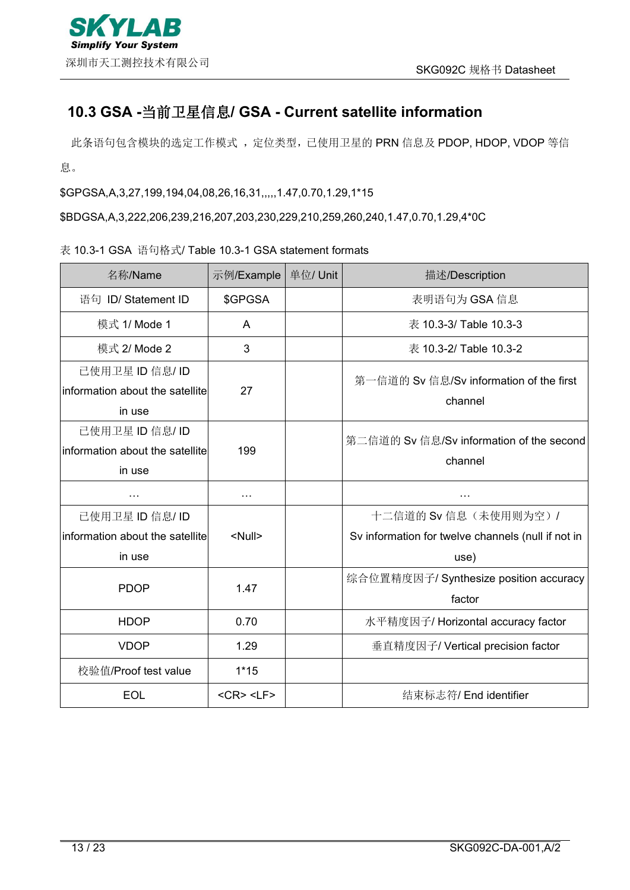### <span id="page-12-0"></span>**10.3 GSA -**当前卫星信息**/ GSA - Current satellite information**

此条语句包含模块的选定工作模式,定位类型,已使用卫星的 PRN 信息及 PDOP, HDOP, VDOP 等信 息。

\$GPGSA,A,3,27,199,194,04,08,26,16,31,,,,,1.47,0.70,1.29,1\*15

\$BDGSA,A,3,222,206,239,216,207,203,230,229,210,259,260,240,1.47,0.70,1.29,4\*0C

#### 表 10.3-1 GSA 语句格式/ Table 10.3-1 GSA statement formats

| 名称/Name                                 | 示例/Example            | 单位/ Unit | 描述/Description                                     |  |
|-----------------------------------------|-----------------------|----------|----------------------------------------------------|--|
| 语句 ID/ Statement ID                     | \$GPGSA               |          | 表明语句为 GSA 信息                                       |  |
| 模式 1/ Mode 1                            | A                     |          | 表 10.3-3/ Table 10.3-3                             |  |
| 模式 2/ Mode 2                            | 3                     |          | 表 10.3-2/ Table 10.3-2                             |  |
| 已使用卫星 ID 信息/ ID                         |                       |          | 第一信道的 Sv 信息/Sv information of the first            |  |
| $ $ information about the satellite $ $ | 27                    |          | channel                                            |  |
| in use                                  |                       |          |                                                    |  |
| 已使用卫星 ID 信息/ ID                         |                       |          | 第二信道的 Sv 信息/Sv information of the second           |  |
| information about the satellite         | 199                   |          | channel                                            |  |
| in use                                  |                       |          |                                                    |  |
| $\cdots$                                | $\cdots$              |          | $\cdots$                                           |  |
| 已使用卫星 ID 信息/ ID                         |                       |          | 十二信道的 Sv 信息(未使用则为空)/                               |  |
| information about the satellite         | <null></null>         |          | Sv information for twelve channels (null if not in |  |
| in use                                  |                       |          | use)                                               |  |
|                                         |                       |          | 综合位置精度因子/ Synthesize position accuracy             |  |
| <b>PDOP</b>                             | 1.47                  |          | factor                                             |  |
| <b>HDOP</b>                             | 0.70                  |          | 水平精度因子/Horizontal accuracy factor                  |  |
| <b>VDOP</b>                             | 1.29                  |          | 垂直精度因子/ Vertical precision factor                  |  |
| 校验值/Proof test value                    | $1*15$                |          |                                                    |  |
| <b>EOL</b>                              | $<$ CR $>$ $<$ LF $>$ |          | 结束标志符/ End identifier                              |  |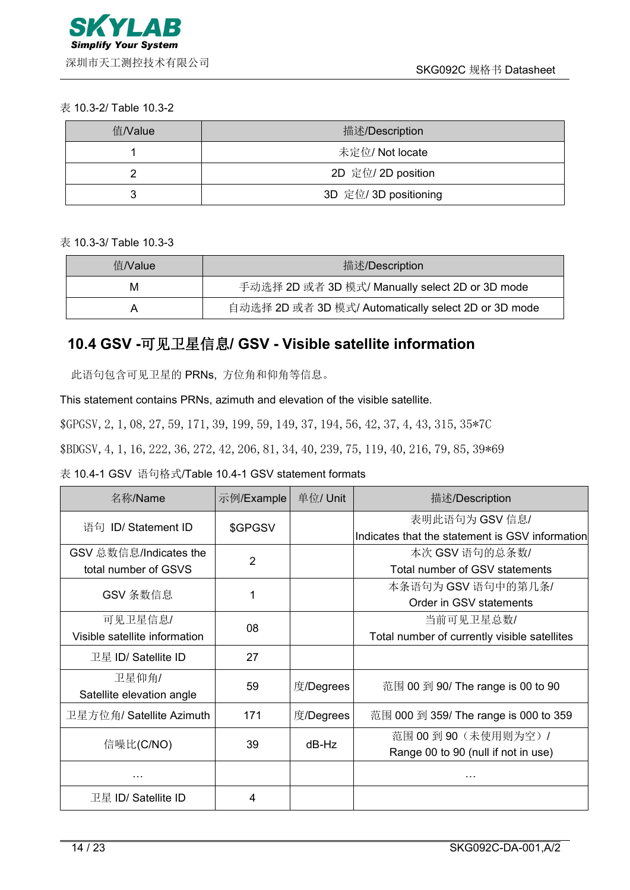#### 表 10.3-2/ Table 10.3-2

| 值/Value | 描述/Description        |  |  |  |
|---------|-----------------------|--|--|--|
|         | 未定位/ Not locate       |  |  |  |
|         | 2D 定位/ 2D position    |  |  |  |
|         | 3D 定位/ 3D positioning |  |  |  |

表 10.3-3/ Table 10.3-3

| 值/Value | 描述/Description                                       |
|---------|------------------------------------------------------|
| M       | 手动选择 2D 或者 3D 模式/ Manually select 2D or 3D mode      |
| A       | 自动选择 2D 或者 3D 模式/ Automatically select 2D or 3D mode |

## <span id="page-13-0"></span>**10.4 GSV -**可见卫星信息**/ GSV - Visible satellite information**

此语句包含可见卫星的 PRNs, 方位角和仰角等信息。

This statement contains PRNs, azimuth and elevation of the visible satellite.

\$GPGSV,2,1,08,27,59,171,39,199,59,149,37,194,56,42,37,4,43,315,35\*7C

\$BDGSV,4,1,16,222,36,272,42,206,81,34,40,239,75,119,40,216,79,85,39\*69

表 10.4-1 GSV 语句格式/Table 10.4-1 GSV statement formats

| 名称/Name                       | 示例/Example     | 单位/ Unit  | 描述/Description                                  |  |
|-------------------------------|----------------|-----------|-------------------------------------------------|--|
| 语句 ID/ Statement ID           | \$GPGSV        |           | 表明此语句为 GSV 信息/                                  |  |
|                               |                |           | Indicates that the statement is GSV information |  |
| GSV 总数信息/Indicates the        | $\overline{2}$ |           | 本次 GSV 语句的总条数/                                  |  |
| total number of GSVS          |                |           | Total number of GSV statements                  |  |
| GSV 条数信息                      |                |           | 本条语句为 GSV 语句中的第几条/                              |  |
|                               |                |           | Order in GSV statements                         |  |
| 可见卫星信息/                       | 08             |           | 当前可见卫星总数/                                       |  |
| Visible satellite information |                |           | Total number of currently visible satellites    |  |
| 卫星 ID/ Satellite ID           | 27             |           |                                                 |  |
| 卫星仰角/                         |                |           |                                                 |  |
| Satellite elevation angle     | 59             | 度/Degrees | 范围 00 到 90/ The range is 00 to 90               |  |
| 卫星方位角/ Satellite Azimuth      | 171            | 度/Degrees | 范围 000 到 359/ The range is 000 to 359           |  |
|                               |                |           | 范围 00 到 90 (未使用则为空) /                           |  |
| 信噪比(C/NO)                     | 39             | dB-Hz     | Range 00 to 90 (null if not in use)             |  |
| .                             |                |           | .                                               |  |
| 卫星 ID/ Satellite ID           | 4              |           |                                                 |  |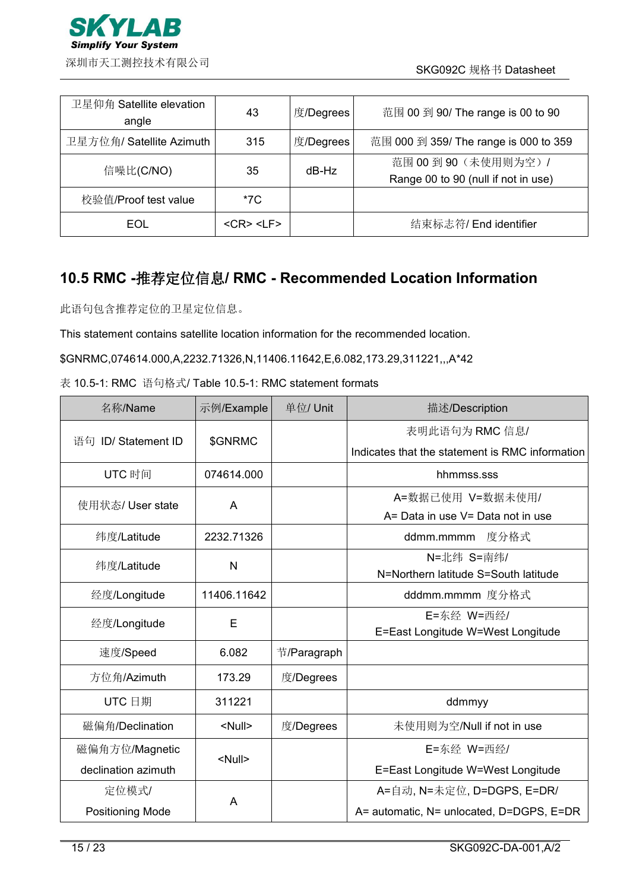

| 卫星仰角 Satellite elevation<br>angle | 43              | 度/Degrees | 范围 00 到 90/ The range is 00 to 90                            |
|-----------------------------------|-----------------|-----------|--------------------------------------------------------------|
| 卫星方位角/ Satellite Azimuth          | 315             | 度/Degrees | 范围 000 到 359/ The range is 000 to 359                        |
| 信噪比(C/NO)                         | 35              | dB-Hz     | 范围 00 到 90 (未使用则为空) /<br>Range 00 to 90 (null if not in use) |
| 校验值/Proof test value              | *7C             |           |                                                              |
| EOL                               | $<$ CR> $<$ LF> |           | 结束标志符/ End identifier                                        |

### <span id="page-14-0"></span>**10.5 RMC -**推荐定位信息**/ RMC - Recommended Location Information**

此语句包含推荐定位的卫星定位信息。

This statement contains satellite location information for the recommended location.

\$GNRMC,074614.000,A,2232.71326,N,11406.11642,E,6.082,173.29,311221,,,A\*42

| 表 10.5-1: RMC 语句格式/ Table 10.5-1: RMC statement formats |  |
|---------------------------------------------------------|--|
|---------------------------------------------------------|--|

| 名称/Name             | 示例/Example    | 单位/ Unit    | 描述/Description                                  |
|---------------------|---------------|-------------|-------------------------------------------------|
| 语句 ID/ Statement ID | \$GNRMC       |             | 表明此语句为 RMC 信息/                                  |
|                     |               |             | Indicates that the statement is RMC information |
| UTC 时间              | 074614.000    |             | hhmmss.sss                                      |
| 使用状态/ User state    | A             |             | A=数据已使用 V=数据未使用/                                |
|                     |               |             | A= Data in use V= Data not in use               |
| 纬度/Latitude         | 2232.71326    |             | ddmm.mmmm 度分格式                                  |
| 纬度/Latitude         | $\mathsf{N}$  |             | N=北纬 S=南纬/                                      |
|                     |               |             | N=Northern latitude S=South latitude            |
| 经度/Longitude        | 11406.11642   |             | dddmm.mmmm 度分格式                                 |
| 经度/Longitude        | E             |             | E=东经 W=西经/                                      |
|                     |               |             | E=East Longitude W=West Longitude               |
| 速度/Speed            | 6.082         | 节/Paragraph |                                                 |
| 方位角/Azimuth         | 173.29        | 度/Degrees   |                                                 |
| UTC 日期              | 311221        |             | ddmmyy                                          |
| 磁偏角/Declination     | <null></null> | 度/Degrees   | 未使用则为空/Null if not in use                       |
| 磁偏角方位/Magnetic      |               |             | E=东经 W=西经/                                      |
| declination azimuth | <null></null> |             | E=East Longitude W=West Longitude               |
| 定位模式/               | A             |             | A=自动, N=未定位, D=DGPS, E=DR/                      |
| Positioning Mode    |               |             | A= automatic, N= unlocated, D=DGPS, E=DR        |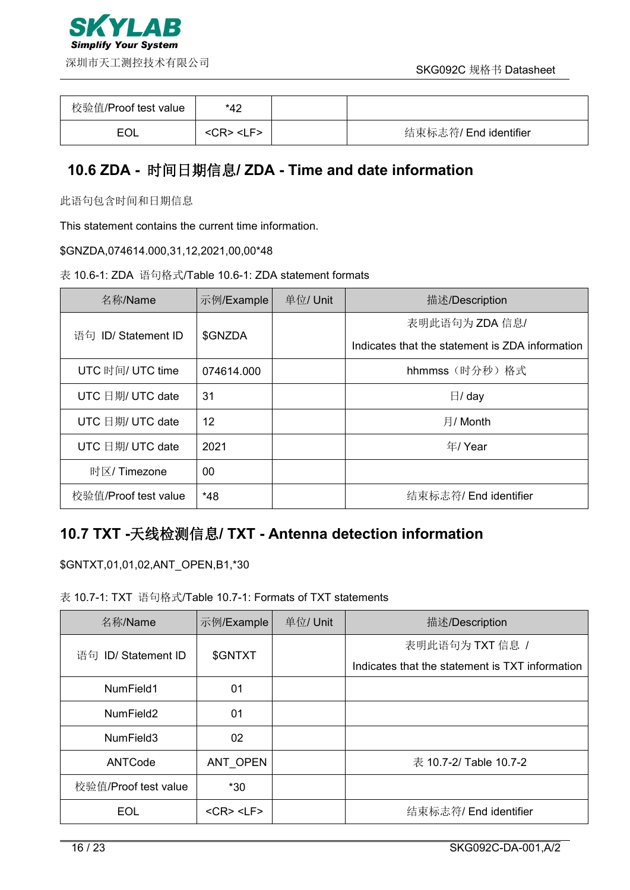

| 校验值/Proof test value | *42                    |                       |
|----------------------|------------------------|-----------------------|
| EOI                  | <cr> <l f=""></l></cr> | 结束标志符/ End identifier |

### <span id="page-15-0"></span>**10.6 ZDA -** 时间日期信息**/ ZDA - Time and date information**

此语句包含时间和日期信息

This statement contains the current time information.

\$GNZDA,074614.000,31,12,2021,00,00\*48

|  | 表 10.6-1: ZDA 语句格式/Table 10.6-1: ZDA statement formats |  |
|--|--------------------------------------------------------|--|
|--|--------------------------------------------------------|--|

| 名称/Name              | 示例/Example | 单位/Unit | 描述/Description                                  |
|----------------------|------------|---------|-------------------------------------------------|
| 语句 ID/ Statement ID  | \$GNZDA    |         | 表明此语句为 ZDA 信息/                                  |
|                      |            |         | Indicates that the statement is ZDA information |
| UTC 时间/ UTC time     | 074614.000 |         | hhmmss (时分秒) 格式                                 |
| UTC 日期/ UTC date     | 31         |         | $\boxminus$ / day                               |
| UTC 日期/ UTC date     | 12         |         | 月/ Month                                        |
| UTC 日期/ UTC date     | 2021       |         | 年/ Year                                         |
| 时区/ Timezone         | 00         |         |                                                 |
| 校验值/Proof test value | $*48$      |         | 结束标志符/ End identifier                           |

### <span id="page-15-1"></span>**10.7 TXT -**天线检测信息**/ TXT - Antenna detection information**

\$GNTXT,01,01,02,ANT\_OPEN,B1,\*30

#### 表 10.7-1: TXT 语句格式/Table 10.7-1: Formats of TXT statements

| 名称/Name               | 示例/Example            | 单位/ Unit | 描述/Description                                  |
|-----------------------|-----------------------|----------|-------------------------------------------------|
| 语句 ID/ Statement ID   | \$GNTXT               |          | 表明此语句为 TXT 信息 /                                 |
|                       |                       |          | Indicates that the statement is TXT information |
| NumField1             | 01                    |          |                                                 |
| NumField2             | 01                    |          |                                                 |
| NumField <sub>3</sub> | 02                    |          |                                                 |
| ANTCode               | ANT OPEN              |          | 表 10.7-2/ Table 10.7-2                          |
| 校验值/Proof test value  | $*30$                 |          |                                                 |
| <b>EOL</b>            | $<$ CR $>$ $<$ LF $>$ |          | 结束标志符/ End identifier                           |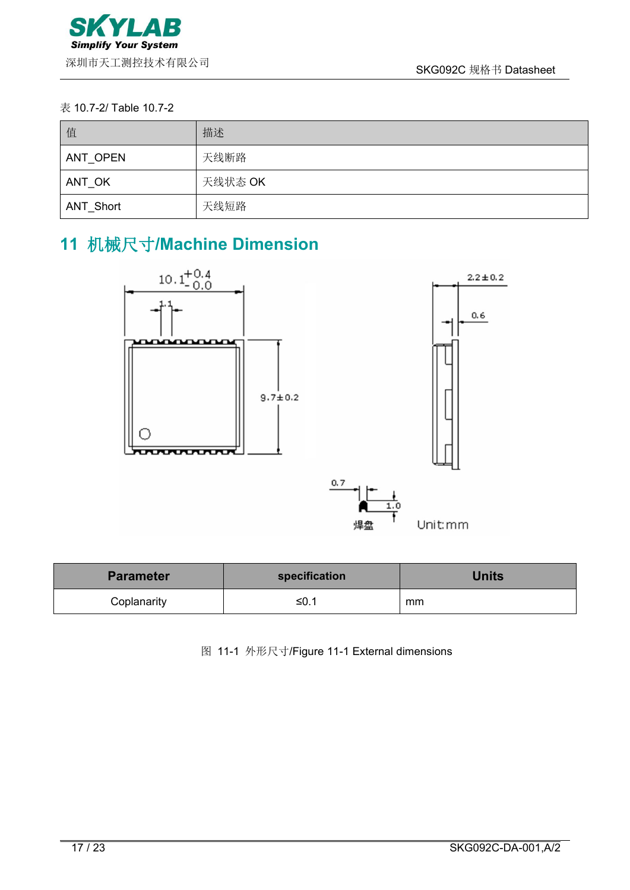#### 表 10.7-2/ Table 10.7-2

| 值         | 描述      |
|-----------|---------|
| ANT OPEN  | 天线断路    |
| ANT OK    | 天线状态 OK |
| ANT_Short | 天线短路    |

# <span id="page-16-0"></span>**11** 机械尺寸**/Machine Dimension**



| <b>Parameter</b> | specification | <b>Units</b> |
|------------------|---------------|--------------|
| Coplanarity      | ≤0.1          | mm           |

图 11-1 外形尺寸/Figure 11-1 External dimensions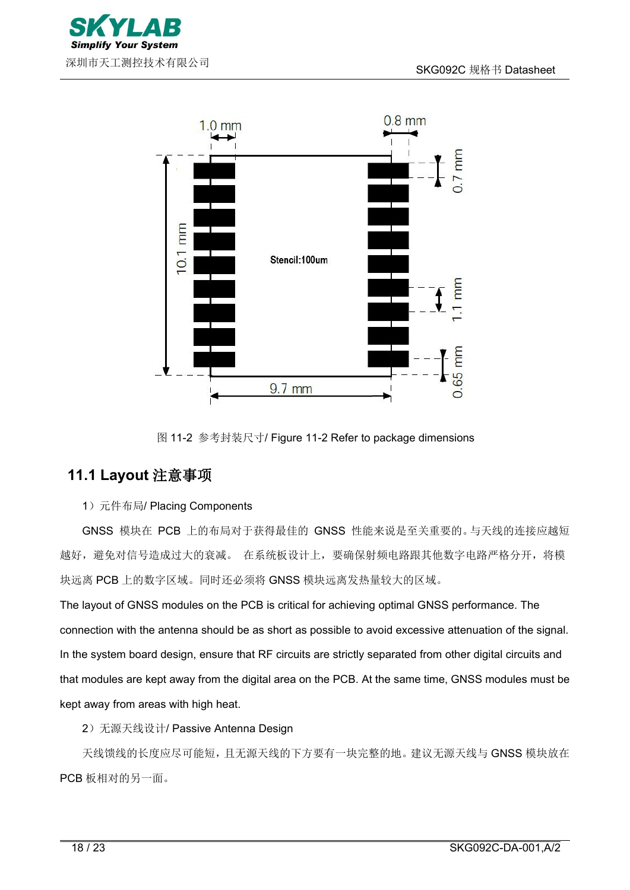



图 11-2 参考封装尺寸/ Figure 11-2 Refer to package dimensions

### <span id="page-17-0"></span>**11.1 Layout** 注意事项

#### 1) 元件布局/ Placing Components

GNSS 模块在 PCB 上的布局对于获得最佳的 GNSS 性能来说是至关重要的。与天线的连接应越短 越好,避免对信号造成过大的衰减。 在系统板设计上,要确保射频电路跟其他数字电路严格分开,将模 块远离 PCB 上的数字区域。同时还必须将 GNSS 模块远离发热量较大的区域。

The layout of GNSS modules on the PCB is critical for achieving optimal GNSS performance. The connection with the antenna should be as short as possible to avoid excessive attenuation of the signal. In the system board design, ensure that RF circuits are strictly separated from other digital circuits and that modules are kept away from the digital area on the PCB. At the same time, GNSS modules must be kept away from areas with high heat.

2)无源天线设计/ Passive Antenna Design

天线馈线的长度应尽可能短,且无源天线的下方要有一块完整的地。建议无源天线与 GNSS 模块放在 PCB 板相对的另一面。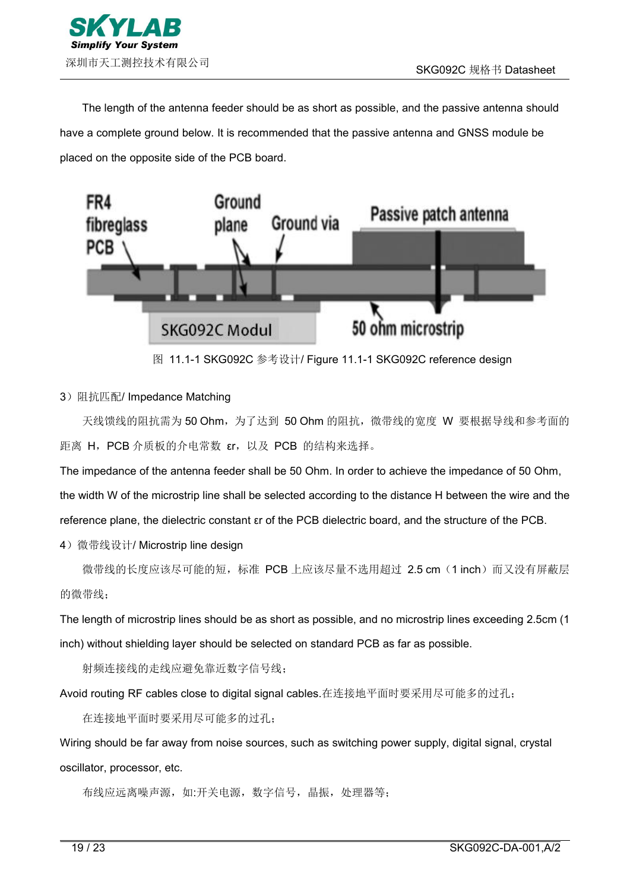

The length of the antenna feeder should be as short as possible, and the passive antenna should have a complete ground below. It is recommended that the passive antenna and GNSS module be placed on the opposite side of the PCB board.



图 11.1-1 SKG092C 参考设计/ Figure 11.1-1 SKG092C reference design

#### 3)阻抗匹配/ Impedance Matching

天线馈线的阻抗需为 50 Ohm, 为了达到 50 Ohm 的阻抗, 微带线的宽度 W 要根据导线和参考面的 距离 H,PCB 介质板的介电常数 εr,以及 PCB 的结构来选择。

The impedance of the antenna feeder shall be 50 Ohm. In order to achieve the impedance of 50 Ohm, the width W of the microstrip line shall be selected according to the distance H between the wire and the reference plane, the dielectric constant εr of the PCB dielectric board,and the structure ofthe PCB.

4)微带线设计/ Microstrip line design

微带线的长度应该尽可能的短,标准 PCB 上应该尽量不选用超过 2.5 cm (1 inch)而又没有屏蔽层 的微带线;

The length of microstrip lines should be as short as possible, and no microstrip lines exceeding 2.5cm (1) inch) without shielding layer should be selected on standard PCB as far as possible.

射频连接线的走线应避免靠近数字信号线;

Avoid routing RF cables close to digital signal cables.在连接地平面时要采用尽可能多的过孔;

在连接地平面时要采用尽可能多的过孔;

Wiring should be far away from noise sources, such as switching power supply, digital signal, crystal oscillator, processor, etc.

布线应远离噪声源,如:开关电源,数字信号,晶振,处理器等;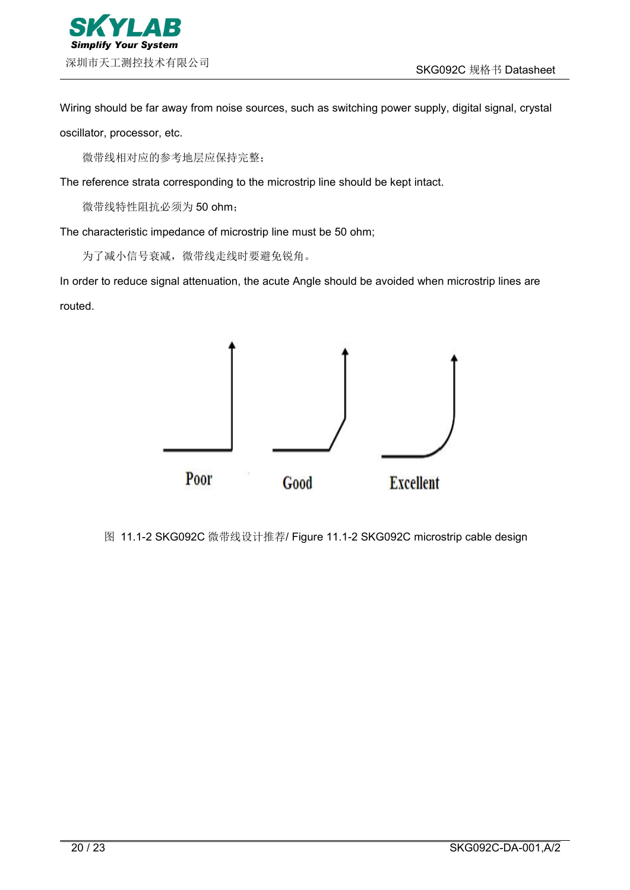

Wiring should be far away from noise sources, such as switching power supply, digital signal, crystal oscillator, processor, etc.

微带线相对应的参考地层应保持完整;

The reference strata corresponding to the microstrip line should be kept intact.

微带线特性阻抗必须为 50 ohm;

The characteristic impedance of microstrip line must be 50 ohm;

为了减小信号衰减,微带线走线时要避免锐角。

In order to reduce signal attenuation, the acute Angle should be avoided when microstrip lines are routed.



图 11.1-2 SKG092C 微带线设计推荐/ Figure 11.1-2 SKG092C microstrip cable design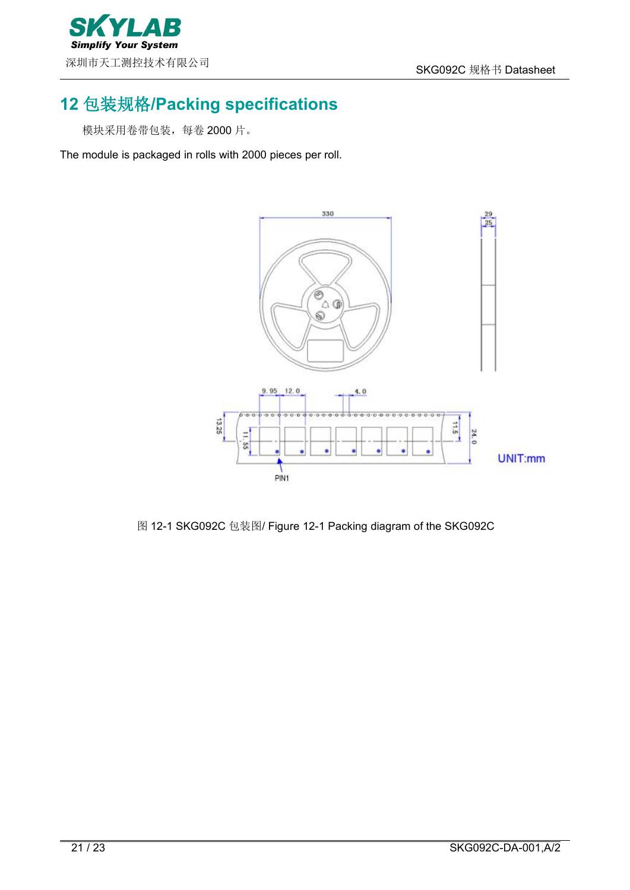

# <span id="page-20-0"></span>**12** 包装规格**/Packing specifications**

模块采用卷带包装,每卷 2000 片。

The module is packaged in rolls with 2000 pieces per roll.



图 12-1 SKG092C 包装图/ Figure 12-1 Packing diagram of the SKG092C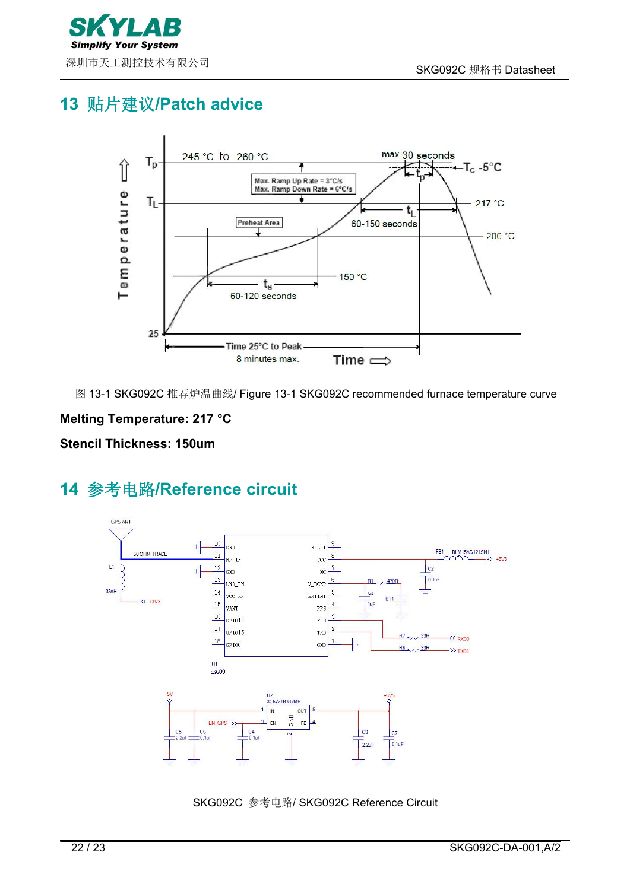

# <span id="page-21-0"></span>**13** 贴片建议**/Patch advice**



图 13-1 SKG092C 推荐炉温曲线/ Figure 13-1 SKG092C recommended furnace temperature curve

### **Melting Temperature: 217 °C**

**Stencil Thickness: 150um**

# <span id="page-21-1"></span>**14** 参考电路**/Reference circuit**



SKG092C 参考电路/ SKG092C Reference Circuit